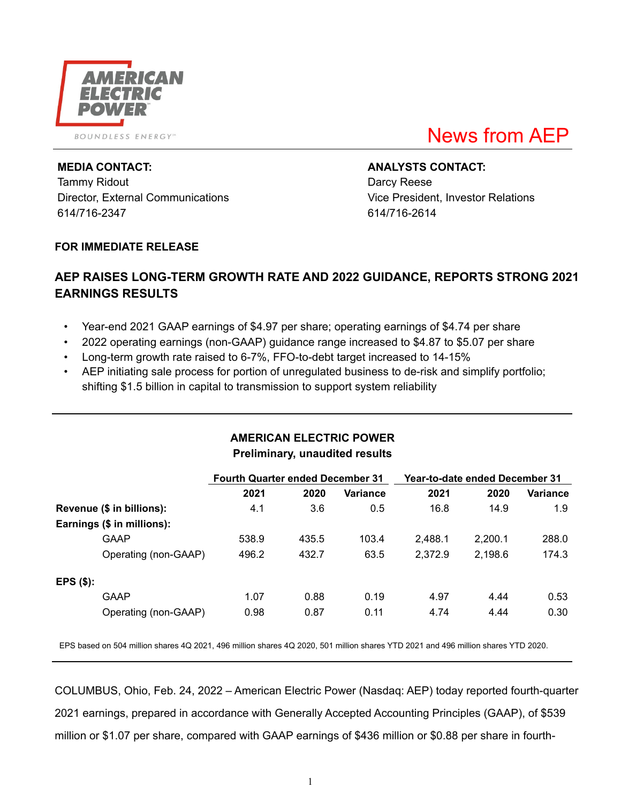

**BOUNDLESS ENERGY**<sup>50</sup>

# News from AEP

Tammy Ridout **Darcy Reese** Director, External Communications Vice President, Investor Relations 614/716-2347 614/716-2614

**MEDIA CONTACT: ANALYSTS CONTACT:**

### **FOR IMMEDIATE RELEASE**

# **AEP RAISES LONG-TERM GROWTH RATE AND 2022 GUIDANCE, REPORTS STRONG 2021 EARNINGS RESULTS**

- Year-end 2021 GAAP earnings of \$4.97 per share; operating earnings of \$4.74 per share
- 2022 operating earnings (non-GAAP) guidance range increased to \$4.87 to \$5.07 per share
- Long-term growth rate raised to 6-7%, FFO-to-debt target increased to 14-15%
- AEP initiating sale process for portion of unregulated business to de-risk and simplify portfolio; shifting \$1.5 billion in capital to transmission to support system reliability

|             |                            | <b>Fourth Quarter ended December 31</b> |       |          | Year-to-date ended December 31 |         |          |  |  |
|-------------|----------------------------|-----------------------------------------|-------|----------|--------------------------------|---------|----------|--|--|
|             |                            | 2021                                    | 2020  | Variance | 2021                           | 2020    | Variance |  |  |
|             | Revenue (\$ in billions):  | 4.1                                     | 3.6   | 0.5      | 16.8                           | 14.9    | 1.9      |  |  |
|             | Earnings (\$ in millions): |                                         |       |          |                                |         |          |  |  |
|             | GAAP                       | 538.9                                   | 435.5 | 103.4    | 2,488.1                        | 2,200.1 | 288.0    |  |  |
|             | Operating (non-GAAP)       | 496.2                                   | 432.7 | 63.5     | 2,372.9                        | 2,198.6 | 174.3    |  |  |
| $EPS($ \$): |                            |                                         |       |          |                                |         |          |  |  |
|             | <b>GAAP</b>                | 1.07                                    | 0.88  | 0.19     | 4.97                           | 4.44    | 0.53     |  |  |
|             | Operating (non-GAAP)       | 0.98                                    | 0.87  | 0.11     | 4.74                           | 4.44    | 0.30     |  |  |

# **AMERICAN ELECTRIC POWER Preliminary, unaudited results**

EPS based on 504 million shares 4Q 2021, 496 million shares 4Q 2020, 501 million shares YTD 2021 and 496 million shares YTD 2020.

COLUMBUS, Ohio, Feb. 24, 2022 – American Electric Power (Nasdaq: AEP) today reported fourth-quarter 2021 earnings, prepared in accordance with Generally Accepted Accounting Principles (GAAP), of \$539 million or \$1.07 per share, compared with GAAP earnings of \$436 million or \$0.88 per share in fourth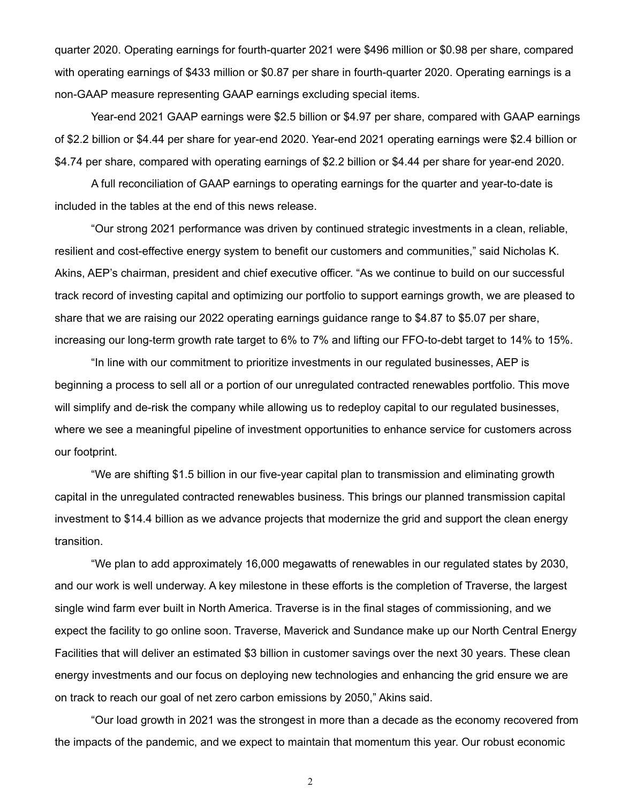quarter 2020. Operating earnings for fourth-quarter 2021 were \$496 million or \$0.98 per share, compared with operating earnings of \$433 million or \$0.87 per share in fourth-quarter 2020. Operating earnings is a non-GAAP measure representing GAAP earnings excluding special items.

Year-end 2021 GAAP earnings were \$2.5 billion or \$4.97 per share, compared with GAAP earnings of \$2.2 billion or \$4.44 per share for year-end 2020. Year-end 2021 operating earnings were \$2.4 billion or \$4.74 per share, compared with operating earnings of \$2.2 billion or \$4.44 per share for year-end 2020.

A full reconciliation of GAAP earnings to operating earnings for the quarter and year-to-date is included in the tables at the end of this news release.

"Our strong 2021 performance was driven by continued strategic investments in a clean, reliable, resilient and cost-effective energy system to benefit our customers and communities," said Nicholas K. Akins, AEP's chairman, president and chief executive officer. "As we continue to build on our successful track record of investing capital and optimizing our portfolio to support earnings growth, we are pleased to share that we are raising our 2022 operating earnings guidance range to \$4.87 to \$5.07 per share, increasing our long-term growth rate target to 6% to 7% and lifting our FFO-to-debt target to 14% to 15%.

"In line with our commitment to prioritize investments in our regulated businesses, AEP is beginning a process to sell all or a portion of our unregulated contracted renewables portfolio. This move will simplify and de-risk the company while allowing us to redeploy capital to our regulated businesses, where we see a meaningful pipeline of investment opportunities to enhance service for customers across our footprint.

"We are shifting \$1.5 billion in our five-year capital plan to transmission and eliminating growth capital in the unregulated contracted renewables business. This brings our planned transmission capital investment to \$14.4 billion as we advance projects that modernize the grid and support the clean energy transition.

"We plan to add approximately 16,000 megawatts of renewables in our regulated states by 2030, and our work is well underway. A key milestone in these efforts is the completion of Traverse, the largest single wind farm ever built in North America. Traverse is in the final stages of commissioning, and we expect the facility to go online soon. Traverse, Maverick and Sundance make up our North Central Energy Facilities that will deliver an estimated \$3 billion in customer savings over the next 30 years. These clean energy investments and our focus on deploying new technologies and enhancing the grid ensure we are on track to reach our goal of net zero carbon emissions by 2050," Akins said.

"Our load growth in 2021 was the strongest in more than a decade as the economy recovered from the impacts of the pandemic, and we expect to maintain that momentum this year. Our robust economic

2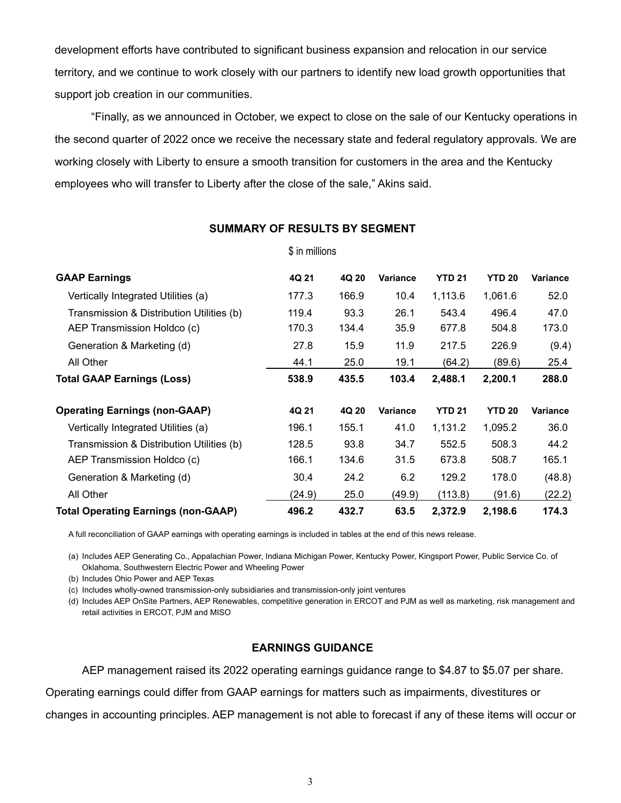development efforts have contributed to significant business expansion and relocation in our service territory, and we continue to work closely with our partners to identify new load growth opportunities that support job creation in our communities.

"Finally, as we announced in October, we expect to close on the sale of our Kentucky operations in the second quarter of 2022 once we receive the necessary state and federal regulatory approvals. We are working closely with Liberty to ensure a smooth transition for customers in the area and the Kentucky employees who will transfer to Liberty after the close of the sale," Akins said.

| <b>GAAP Earnings</b>                       | 4Q 21  | 4Q 20 | <b>Variance</b> | <b>YTD 21</b> | <b>YTD 20</b> | Variance |
|--------------------------------------------|--------|-------|-----------------|---------------|---------------|----------|
| Vertically Integrated Utilities (a)        | 177.3  | 166.9 | 10.4            | 1,113.6       | 1,061.6       | 52.0     |
| Transmission & Distribution Utilities (b)  | 119.4  | 93.3  | 26.1            | 543.4         | 496.4         | 47.0     |
| AEP Transmission Holdco (c)                | 170.3  | 134.4 | 35.9            | 677.8         | 504.8         | 173.0    |
| Generation & Marketing (d)                 | 27.8   | 15.9  | 11.9            | 217.5         | 226.9         | (9.4)    |
| All Other                                  | 44.1   | 25.0  | 19.1            | (64.2)        | (89.6)        | 25.4     |
| <b>Total GAAP Earnings (Loss)</b>          | 538.9  | 435.5 | 103.4           | 2,488.1       | 2,200.1       | 288.0    |
| <b>Operating Earnings (non-GAAP)</b>       | 4Q 21  | 4Q 20 | <b>Variance</b> | <b>YTD 21</b> | <b>YTD 20</b> | Variance |
| Vertically Integrated Utilities (a)        | 196.1  | 155.1 | 41.0            | 1,131.2       | 1,095.2       | 36.0     |
| Transmission & Distribution Utilities (b)  | 128.5  | 93.8  | 34.7            | 552.5         | 508.3         | 44.2     |
| AEP Transmission Holdco (c)                | 166.1  | 134.6 | 31.5            | 673.8         | 508.7         | 165.1    |
| Generation & Marketing (d)                 | 30.4   | 24.2  | 6.2             | 129.2         | 178.0         | (48.8)   |
| All Other                                  | (24.9) | 25.0  | (49.9)          | (113.8)       | (91.6)        | (22.2)   |
| <b>Total Operating Earnings (non-GAAP)</b> | 496.2  | 432.7 | 63.5            | 2,372.9       | 2,198.6       | 174.3    |

#### **SUMMARY OF RESULTS BY SEGMENT**

\$ in millions

A full reconciliation of GAAP earnings with operating earnings is included in tables at the end of this news release.

(a) Includes AEP Generating Co., Appalachian Power, Indiana Michigan Power, Kentucky Power, Kingsport Power, Public Service Co. of Oklahoma, Southwestern Electric Power and Wheeling Power

(b) Includes Ohio Power and AEP Texas

(c) Includes wholly-owned transmission-only subsidiaries and transmission-only joint ventures

(d) Includes AEP OnSite Partners, AEP Renewables, competitive generation in ERCOT and PJM as well as marketing, risk management and retail activities in ERCOT, PJM and MISO

#### **EARNINGS GUIDANCE**

AEP management raised its 2022 operating earnings guidance range to \$4.87 to \$5.07 per share.

Operating earnings could differ from GAAP earnings for matters such as impairments, divestitures or

changes in accounting principles. AEP management is not able to forecast if any of these items will occur or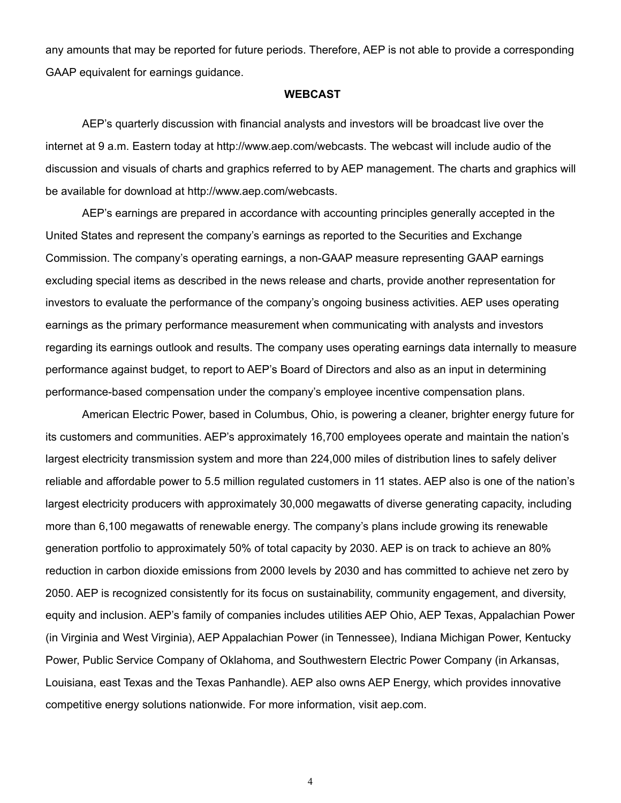any amounts that may be reported for future periods. Therefore, AEP is not able to provide a corresponding GAAP equivalent for earnings guidance.

#### **WEBCAST**

AEP's quarterly discussion with financial analysts and investors will be broadcast live over the internet at 9 a.m. Eastern today at http://www.aep.com/webcasts. The webcast will include audio of the discussion and visuals of charts and graphics referred to by AEP management. The charts and graphics will be available for download at http://www.aep.com/webcasts.

AEP's earnings are prepared in accordance with accounting principles generally accepted in the United States and represent the company's earnings as reported to the Securities and Exchange Commission. The company's operating earnings, a non-GAAP measure representing GAAP earnings excluding special items as described in the news release and charts, provide another representation for investors to evaluate the performance of the company's ongoing business activities. AEP uses operating earnings as the primary performance measurement when communicating with analysts and investors regarding its earnings outlook and results. The company uses operating earnings data internally to measure performance against budget, to report to AEP's Board of Directors and also as an input in determining performance-based compensation under the company's employee incentive compensation plans.

American Electric Power, based in Columbus, Ohio, is powering a cleaner, brighter energy future for its customers and communities. AEP's approximately 16,700 employees operate and maintain the nation's largest electricity transmission system and more than 224,000 miles of distribution lines to safely deliver reliable and affordable power to 5.5 million regulated customers in 11 states. AEP also is one of the nation's largest electricity producers with approximately 30,000 megawatts of diverse generating capacity, including more than 6,100 megawatts of renewable energy. The company's plans include growing its renewable generation portfolio to approximately 50% of total capacity by 2030. AEP is on track to achieve an 80% reduction in carbon dioxide emissions from 2000 levels by 2030 and has committed to achieve net zero by 2050. AEP is recognized consistently for its focus on sustainability, community engagement, and diversity, equity and inclusion. AEP's family of companies includes utilities AEP Ohio, AEP Texas, Appalachian Power (in Virginia and West Virginia), AEP Appalachian Power (in Tennessee), Indiana Michigan Power, Kentucky Power, Public Service Company of Oklahoma, and Southwestern Electric Power Company (in Arkansas, Louisiana, east Texas and the Texas Panhandle). AEP also owns AEP Energy, which provides innovative competitive energy solutions nationwide. For more information, visit aep.com.

4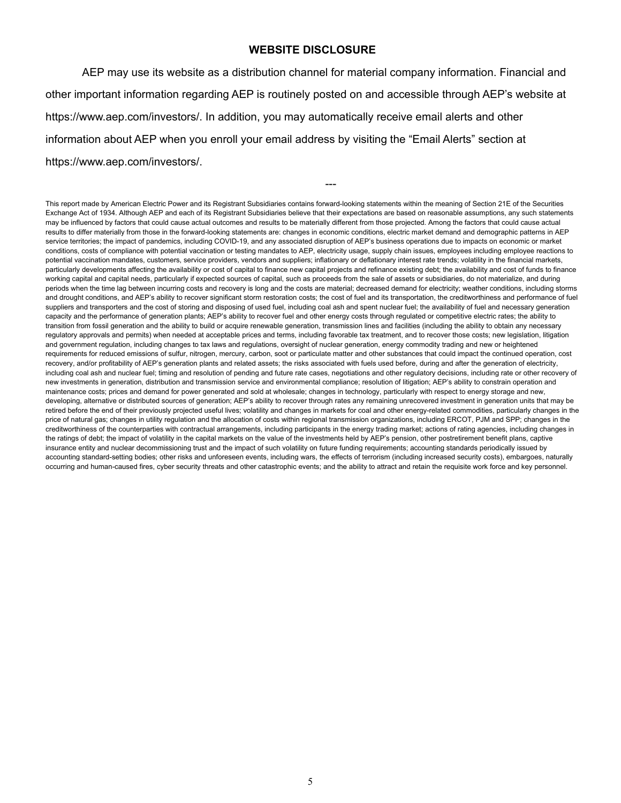#### **WEBSITE DISCLOSURE**

AEP may use its website as a distribution channel for material company information. Financial and other important information regarding AEP is routinely posted on and accessible through AEP's website at https://www.aep.com/investors/. In addition, you may automatically receive email alerts and other information about AEP when you enroll your email address by visiting the "Email Alerts" section at https://www.aep.com/investors/.

---

This report made by American Electric Power and its Registrant Subsidiaries contains forward-looking statements within the meaning of Section 21E of the Securities Exchange Act of 1934. Although AEP and each of its Registrant Subsidiaries believe that their expectations are based on reasonable assumptions, any such statements may be influenced by factors that could cause actual outcomes and results to be materially different from those projected. Among the factors that could cause actual results to differ materially from those in the forward-looking statements are: changes in economic conditions, electric market demand and demographic patterns in AEP service territories; the impact of pandemics, including COVID-19, and any associated disruption of AEP's business operations due to impacts on economic or market conditions, costs of compliance with potential vaccination or testing mandates to AEP, electricity usage, supply chain issues, employees including employee reactions to potential vaccination mandates, customers, service providers, vendors and suppliers; inflationary or deflationary interest rate trends; volatility in the financial markets, particularly developments affecting the availability or cost of capital to finance new capital projects and refinance existing debt; the availability and cost of funds to finance working capital and capital needs, particularly if expected sources of capital, such as proceeds from the sale of assets or subsidiaries, do not materialize, and during periods when the time lag between incurring costs and recovery is long and the costs are material; decreased demand for electricity; weather conditions, including storms and drought conditions, and AEP's ability to recover significant storm restoration costs; the cost of fuel and its transportation, the creditworthiness and performance of fuel suppliers and transporters and the cost of storing and disposing of used fuel, including coal ash and spent nuclear fuel; the availability of fuel and necessary generation capacity and the performance of generation plants; AEP's ability to recover fuel and other energy costs through regulated or competitive electric rates; the ability to transition from fossil generation and the ability to build or acquire renewable generation, transmission lines and facilities (including the ability to obtain any necessary regulatory approvals and permits) when needed at acceptable prices and terms, including favorable tax treatment, and to recover those costs; new legislation, litigation and government regulation, including changes to tax laws and regulations, oversight of nuclear generation, energy commodity trading and new or heightened requirements for reduced emissions of sulfur, nitrogen, mercury, carbon, soot or particulate matter and other substances that could impact the continued operation, cost recovery, and/or profitability of AEP's generation plants and related assets; the risks associated with fuels used before, during and after the generation of electricity, including coal ash and nuclear fuel; timing and resolution of pending and future rate cases, negotiations and other regulatory decisions, including rate or other recovery of new investments in generation, distribution and transmission service and environmental compliance; resolution of litigation; AEP's ability to constrain operation and maintenance costs; prices and demand for power generated and sold at wholesale; changes in technology, particularly with respect to energy storage and new, developing, alternative or distributed sources of generation; AEP's ability to recover through rates any remaining unrecovered investment in generation units that may be retired before the end of their previously projected useful lives; volatility and changes in markets for coal and other energy-related commodities, particularly changes in the price of natural gas; changes in utility regulation and the allocation of costs within regional transmission organizations, including ERCOT, PJM and SPP; changes in the creditworthiness of the counterparties with contractual arrangements, including participants in the energy trading market; actions of rating agencies, including changes in the ratings of debt; the impact of volatility in the capital markets on the value of the investments held by AEP's pension, other postretirement benefit plans, captive insurance entity and nuclear decommissioning trust and the impact of such volatility on future funding requirements; accounting standards periodically issued by accounting standard-setting bodies; other risks and unforeseen events, including wars, the effects of terrorism (including increased security costs), embargoes, naturally occurring and human-caused fires, cyber security threats and other catastrophic events; and the ability to attract and retain the requisite work force and key personnel.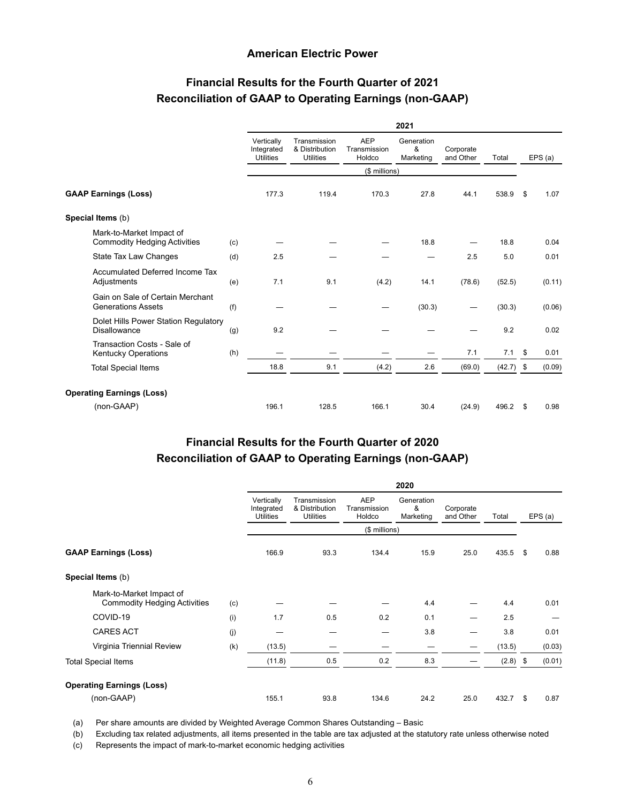#### **American Electric Power**

# **Financial Results for the Fourth Quarter of 2021 Reconciliation of GAAP to Operating Earnings (non-GAAP)**

|                                                                 |     | 2021                                         |                                                    |                                      |                              |                        |             |      |         |
|-----------------------------------------------------------------|-----|----------------------------------------------|----------------------------------------------------|--------------------------------------|------------------------------|------------------------|-------------|------|---------|
|                                                                 |     | Vertically<br>Integrated<br><b>Utilities</b> | Transmission<br>& Distribution<br><b>Utilities</b> | <b>AEP</b><br>Transmission<br>Holdco | Generation<br>&<br>Marketing | Corporate<br>and Other | Total       |      | EPS (a) |
|                                                                 |     |                                              |                                                    | (\$ millions)                        |                              |                        |             |      |         |
| <b>GAAP Earnings (Loss)</b>                                     |     | 177.3                                        | 119.4                                              | 170.3                                | 27.8                         | 44.1                   | 538.9       | \$   | 1.07    |
| Special Items (b)                                               |     |                                              |                                                    |                                      |                              |                        |             |      |         |
| Mark-to-Market Impact of<br><b>Commodity Hedging Activities</b> | (c) |                                              |                                                    |                                      | 18.8                         |                        | 18.8        |      | 0.04    |
| State Tax Law Changes                                           | (d) | 2.5                                          |                                                    |                                      |                              | 2.5                    | 5.0         |      | 0.01    |
| Accumulated Deferred Income Tax<br>Adjustments                  | (e) | 7.1                                          | 9.1                                                | (4.2)                                | 14.1                         | (78.6)                 | (52.5)      |      | (0.11)  |
| Gain on Sale of Certain Merchant<br><b>Generations Assets</b>   | (f) |                                              |                                                    |                                      | (30.3)                       |                        | (30.3)      |      | (0.06)  |
| Dolet Hills Power Station Regulatory<br><b>Disallowance</b>     | (g) | 9.2                                          |                                                    |                                      |                              |                        | 9.2         |      | 0.02    |
| Transaction Costs - Sale of<br><b>Kentucky Operations</b>       | (h) |                                              |                                                    |                                      |                              | 7.1                    | 7.1         | - \$ | 0.01    |
| <b>Total Special Items</b>                                      |     | 18.8                                         | 9.1                                                | (4.2)                                | 2.6                          | (69.0)                 | $(42.7)$ \$ |      | (0.09)  |
| <b>Operating Earnings (Loss)</b>                                |     |                                              |                                                    |                                      |                              |                        |             |      |         |
| (non-GAAP)                                                      |     | 196.1                                        | 128.5                                              | 166.1                                | 30.4                         | (24.9)                 | 496.2       | - \$ | 0.98    |

# **Financial Results for the Fourth Quarter of 2020 Reconciliation of GAAP to Operating Earnings (non-GAAP)**

|                                                                 |     | 2020                                  |                                                    |                                      |                              |                        |        |      |        |
|-----------------------------------------------------------------|-----|---------------------------------------|----------------------------------------------------|--------------------------------------|------------------------------|------------------------|--------|------|--------|
|                                                                 |     | Vertically<br>Integrated<br>Utilities | Transmission<br>& Distribution<br><b>Utilities</b> | <b>AEP</b><br>Transmission<br>Holdco | Generation<br>&<br>Marketing | Corporate<br>and Other | Total  |      | EPS(a) |
|                                                                 |     |                                       |                                                    | (\$ millions)                        |                              |                        |        |      |        |
| <b>GAAP Earnings (Loss)</b>                                     |     | 166.9                                 | 93.3                                               | 134.4                                | 15.9                         | 25.0                   | 435.5  | \$   | 0.88   |
| Special Items (b)                                               |     |                                       |                                                    |                                      |                              |                        |        |      |        |
| Mark-to-Market Impact of<br><b>Commodity Hedging Activities</b> | (c) |                                       |                                                    |                                      | 4.4                          |                        | 4.4    |      | 0.01   |
| COVID-19                                                        | (i) | 1.7                                   | 0.5                                                | 0.2                                  | 0.1                          | —                      | 2.5    |      |        |
| <b>CARES ACT</b>                                                | (i) |                                       |                                                    |                                      | 3.8                          | -                      | 3.8    |      | 0.01   |
| Virginia Triennial Review                                       | (k) | (13.5)                                |                                                    |                                      |                              |                        | (13.5) |      | (0.03) |
| <b>Total Special Items</b>                                      |     | (11.8)                                | 0.5                                                | 0.2                                  | 8.3                          |                        | (2.8)  | - \$ | (0.01) |
| <b>Operating Earnings (Loss)</b>                                |     |                                       |                                                    |                                      |                              |                        |        |      |        |
| (non-GAAP)                                                      |     | 155.1                                 | 93.8                                               | 134.6                                | 24.2                         | 25.0                   | 432.7  | \$   | 0.87   |

(a) Per share amounts are divided by Weighted Average Common Shares Outstanding – Basic

(b) Excluding tax related adjustments, all items presented in the table are tax adjusted at the statutory rate unless otherwise noted

(c) Represents the impact of mark-to-market economic hedging activities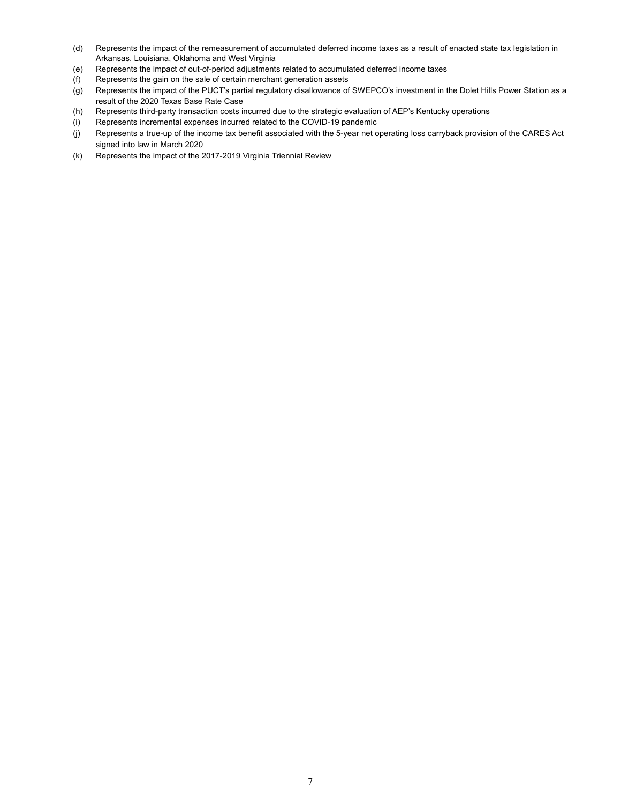- (d) Represents the impact of the remeasurement of accumulated deferred income taxes as a result of enacted state tax legislation in Arkansas, Louisiana, Oklahoma and West Virginia
- (e) Represents the impact of out-of-period adjustments related to accumulated deferred income taxes
- (f) Represents the gain on the sale of certain merchant generation assets
- (g) Represents the impact of the PUCT's partial regulatory disallowance of SWEPCO's investment in the Dolet Hills Power Station as a result of the 2020 Texas Base Rate Case
- (h) Represents third-party transaction costs incurred due to the strategic evaluation of AEP's Kentucky operations
- (i) Represents incremental expenses incurred related to the COVID-19 pandemic
- (j) Represents a true-up of the income tax benefit associated with the 5-year net operating loss carryback provision of the CARES Act signed into law in March 2020
- (k) Represents the impact of the 2017-2019 Virginia Triennial Review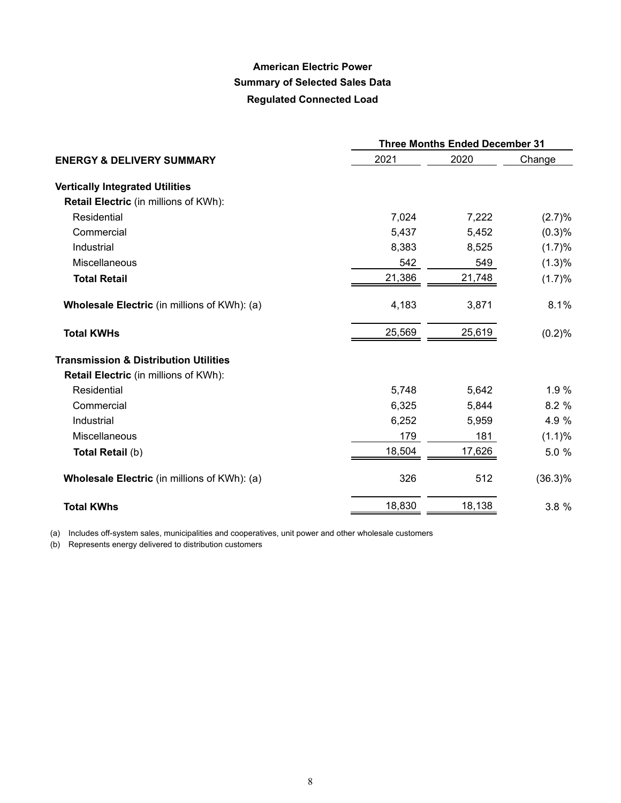# **American Electric Power Summary of Selected Sales Data Regulated Connected Load**

|                                                     | <b>Three Months Ended December 31</b> |        |            |  |  |  |  |
|-----------------------------------------------------|---------------------------------------|--------|------------|--|--|--|--|
| <b>ENERGY &amp; DELIVERY SUMMARY</b>                | 2021                                  | 2020   | Change     |  |  |  |  |
| <b>Vertically Integrated Utilities</b>              |                                       |        |            |  |  |  |  |
| <b>Retail Electric</b> (in millions of KWh):        |                                       |        |            |  |  |  |  |
| Residential                                         | 7,024                                 | 7,222  | (2.7)%     |  |  |  |  |
| Commercial                                          | 5,437                                 | 5,452  | (0.3)%     |  |  |  |  |
| Industrial                                          | 8,383                                 | 8,525  | (1.7)%     |  |  |  |  |
| <b>Miscellaneous</b>                                | 542                                   | 549    | (1.3)%     |  |  |  |  |
| <b>Total Retail</b>                                 | 21,386                                | 21,748 | (1.7)%     |  |  |  |  |
| <b>Wholesale Electric</b> (in millions of KWh): (a) | 4,183                                 | 3,871  | 8.1%       |  |  |  |  |
| <b>Total KWHs</b>                                   | 25,569                                | 25,619 | (0.2)%     |  |  |  |  |
| <b>Transmission &amp; Distribution Utilities</b>    |                                       |        |            |  |  |  |  |
| <b>Retail Electric</b> (in millions of KWh):        |                                       |        |            |  |  |  |  |
| Residential                                         | 5,748                                 | 5,642  | 1.9%       |  |  |  |  |
| Commercial                                          | 6,325                                 | 5,844  | 8.2 %      |  |  |  |  |
| Industrial                                          | 6,252                                 | 5,959  | 4.9 %      |  |  |  |  |
| <b>Miscellaneous</b>                                | 179                                   | 181    | (1.1)%     |  |  |  |  |
| Total Retail (b)                                    | 18,504                                | 17,626 | 5.0 %      |  |  |  |  |
| <b>Wholesale Electric</b> (in millions of KWh): (a) | 326                                   | 512    | $(36.3)\%$ |  |  |  |  |
| <b>Total KWhs</b>                                   | 18,830                                | 18,138 | 3.8 %      |  |  |  |  |

(a) Includes off-system sales, municipalities and cooperatives, unit power and other wholesale customers

(b) Represents energy delivered to distribution customers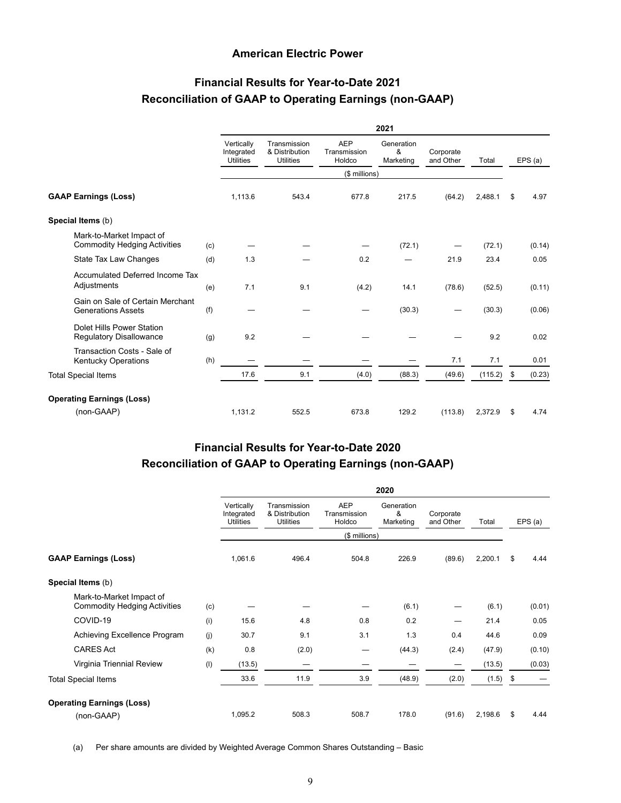#### **American Electric Power**

# **Financial Results for Year-to-Date 2021 Reconciliation of GAAP to Operating Earnings (non-GAAP)**

|                                                                 |     | 2021                                         |                                                    |                                      |                              |                        |         |    |         |
|-----------------------------------------------------------------|-----|----------------------------------------------|----------------------------------------------------|--------------------------------------|------------------------------|------------------------|---------|----|---------|
|                                                                 |     | Vertically<br>Integrated<br><b>Utilities</b> | Transmission<br>& Distribution<br><b>Utilities</b> | <b>AEP</b><br>Transmission<br>Holdco | Generation<br>&<br>Marketing | Corporate<br>and Other | Total   |    | EPS (a) |
|                                                                 |     |                                              |                                                    | (\$ millions)                        |                              |                        |         |    |         |
| <b>GAAP Earnings (Loss)</b>                                     |     | 1,113.6                                      | 543.4                                              | 677.8                                | 217.5                        | (64.2)                 | 2,488.1 | \$ | 4.97    |
| Special Items (b)                                               |     |                                              |                                                    |                                      |                              |                        |         |    |         |
| Mark-to-Market Impact of<br><b>Commodity Hedging Activities</b> | (c) |                                              |                                                    |                                      | (72.1)                       |                        | (72.1)  |    | (0.14)  |
| State Tax Law Changes                                           | (d) | 1.3                                          |                                                    | 0.2                                  |                              | 21.9                   | 23.4    |    | 0.05    |
| Accumulated Deferred Income Tax<br>Adjustments                  | (e) | 7.1                                          | 9.1                                                | (4.2)                                | 14.1                         | (78.6)                 | (52.5)  |    | (0.11)  |
| Gain on Sale of Certain Merchant<br><b>Generations Assets</b>   | (f) |                                              |                                                    |                                      | (30.3)                       |                        | (30.3)  |    | (0.06)  |
| Dolet Hills Power Station<br><b>Regulatory Disallowance</b>     | (g) | 9.2                                          |                                                    |                                      |                              |                        | 9.2     |    | 0.02    |
| Transaction Costs - Sale of<br><b>Kentucky Operations</b>       | (h) |                                              |                                                    |                                      |                              | 7.1                    | 7.1     |    | 0.01    |
| <b>Total Special Items</b>                                      |     | 17.6                                         | 9.1                                                | (4.0)                                | (88.3)                       | (49.6)                 | (115.2) | \$ | (0.23)  |
| <b>Operating Earnings (Loss)</b>                                |     |                                              |                                                    |                                      |                              |                        |         |    |         |
| (non-GAAP)                                                      |     | 1,131.2                                      | 552.5                                              | 673.8                                | 129.2                        | (113.8)                | 2,372.9 | \$ | 4.74    |

## **Financial Results for Year-to-Date 2020 Reconciliation of GAAP to Operating Earnings (non-GAAP)**

|                                                                 |     | 2020                                         |                                                    |                                      |                              |                        |         |    |         |  |
|-----------------------------------------------------------------|-----|----------------------------------------------|----------------------------------------------------|--------------------------------------|------------------------------|------------------------|---------|----|---------|--|
|                                                                 |     | Vertically<br>Integrated<br><b>Utilities</b> | Transmission<br>& Distribution<br><b>Utilities</b> | <b>AEP</b><br>Transmission<br>Holdco | Generation<br>&<br>Marketing | Corporate<br>and Other | Total   |    | EPS (a) |  |
|                                                                 |     |                                              |                                                    | (\$ millions)                        |                              |                        |         |    |         |  |
| <b>GAAP Earnings (Loss)</b>                                     |     | 1,061.6                                      | 496.4                                              | 504.8                                | 226.9                        | (89.6)                 | 2,200.1 | \$ | 4.44    |  |
| Special Items (b)                                               |     |                                              |                                                    |                                      |                              |                        |         |    |         |  |
| Mark-to-Market Impact of<br><b>Commodity Hedging Activities</b> | (c) |                                              |                                                    |                                      | (6.1)                        |                        | (6.1)   |    | (0.01)  |  |
| COVID-19                                                        | (i) | 15.6                                         | 4.8                                                | 0.8                                  | 0.2                          | —                      | 21.4    |    | 0.05    |  |
| Achieving Excellence Program                                    | (j) | 30.7                                         | 9.1                                                | 3.1                                  | 1.3                          | 0.4                    | 44.6    |    | 0.09    |  |
| <b>CARES Act</b>                                                | (k) | 0.8                                          | (2.0)                                              |                                      | (44.3)                       | (2.4)                  | (47.9)  |    | (0.10)  |  |
| Virginia Triennial Review                                       | (1) | (13.5)                                       |                                                    |                                      |                              |                        | (13.5)  |    | (0.03)  |  |
| <b>Total Special Items</b>                                      |     | 33.6                                         | 11.9                                               | 3.9                                  | (48.9)                       | (2.0)                  | (1.5)   | \$ |         |  |
| <b>Operating Earnings (Loss)</b>                                |     |                                              |                                                    |                                      |                              |                        |         |    |         |  |
| (non-GAAP)                                                      |     | 1,095.2                                      | 508.3                                              | 508.7                                | 178.0                        | (91.6)                 | 2,198.6 | S  | 4.44    |  |

(a) Per share amounts are divided by Weighted Average Common Shares Outstanding – Basic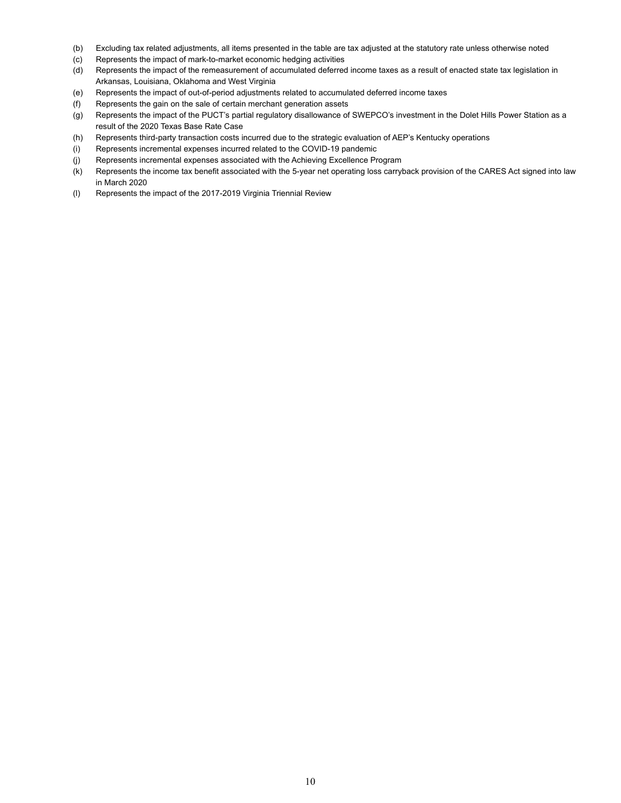- (b) Excluding tax related adjustments, all items presented in the table are tax adjusted at the statutory rate unless otherwise noted
- (c) Represents the impact of mark-to-market economic hedging activities
- (d) Represents the impact of the remeasurement of accumulated deferred income taxes as a result of enacted state tax legislation in Arkansas, Louisiana, Oklahoma and West Virginia
- (e) Represents the impact of out-of-period adjustments related to accumulated deferred income taxes
- (f) Represents the gain on the sale of certain merchant generation assets
- (g) Represents the impact of the PUCT's partial regulatory disallowance of SWEPCO's investment in the Dolet Hills Power Station as a result of the 2020 Texas Base Rate Case
- (h) Represents third-party transaction costs incurred due to the strategic evaluation of AEP's Kentucky operations
- (i) Represents incremental expenses incurred related to the COVID-19 pandemic
- (j) Represents incremental expenses associated with the Achieving Excellence Program
- (k) Represents the income tax benefit associated with the 5-year net operating loss carryback provision of the CARES Act signed into law in March 2020
- (l) Represents the impact of the 2017-2019 Virginia Triennial Review